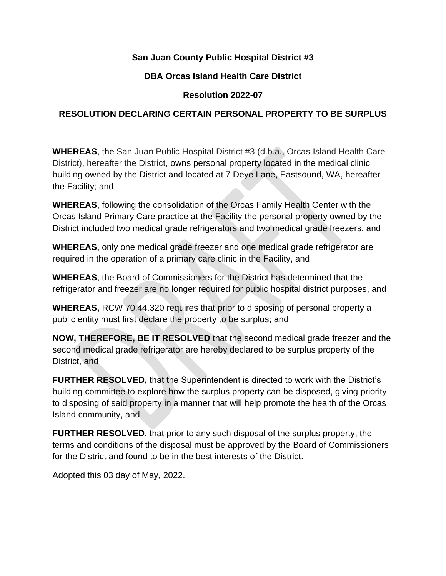### **San Juan County Public Hospital District #3**

### **DBA Orcas Island Health Care District**

# **Resolution 2022-07**

# **RESOLUTION DECLARING CERTAIN PERSONAL PROPERTY TO BE SURPLUS**

**WHEREAS**, the San Juan Public Hospital District #3 (d.b.a., Orcas Island Health Care District), hereafter the District, owns personal property located in the medical clinic building owned by the District and located at 7 Deye Lane, Eastsound, WA, hereafter the Facility; and

**WHEREAS**, following the consolidation of the Orcas Family Health Center with the Orcas Island Primary Care practice at the Facility the personal property owned by the District included two medical grade refrigerators and two medical grade freezers, and

**WHEREAS**, only one medical grade freezer and one medical grade refrigerator are required in the operation of a primary care clinic in the Facility, and

**WHEREAS**, the Board of Commissioners for the District has determined that the refrigerator and freezer are no longer required for public hospital district purposes, and

**WHEREAS,** RCW 70.44.320 requires that prior to disposing of personal property a public entity must first declare the property to be surplus; and

**NOW, THEREFORE, BE IT RESOLVED** that the second medical grade freezer and the second medical grade refrigerator are hereby declared to be surplus property of the District, and

**FURTHER RESOLVED,** that the Superintendent is directed to work with the District's building committee to explore how the surplus property can be disposed, giving priority to disposing of said property in a manner that will help promote the health of the Orcas Island community, and

**FURTHER RESOLVED**, that prior to any such disposal of the surplus property, the terms and conditions of the disposal must be approved by the Board of Commissioners for the District and found to be in the best interests of the District.

Adopted this 03 day of May, 2022.